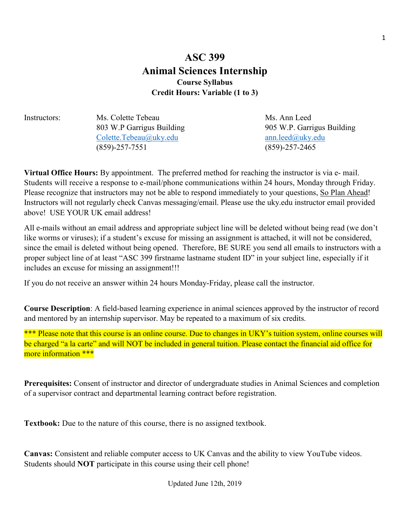# **ASC 399 Animal Sciences Internship Course Syllabus Credit Hours: Variable (1 to 3)**

Instructors: Ms. Colette Tebeau Ms. Ann Leed [Colette.Tebeau@uky.edu](mailto:Colette.Tebeau@uky.edu) [ann.leed@uky.edu](mailto:ann.leed@uky.edu) (859)-257-7551 (859)-257-2465

803 W.P Garrigus Building 905 W.P. Garrigus Building

**Virtual Office Hours:** By appointment. The preferred method for reaching the instructor is via e- mail. Students will receive a response to e-mail/phone communications within 24 hours, Monday through Friday. Please recognize that instructors may not be able to respond immediately to your questions, So Plan Ahead! Instructors will not regularly check Canvas messaging/email. Please use the uky.edu instructor email provided above! USE YOUR UK email address!

All e-mails without an email address and appropriate subject line will be deleted without being read (we don't like worms or viruses); if a student's excuse for missing an assignment is attached, it will not be considered, since the email is deleted without being opened. Therefore, BE SURE you send all emails to instructors with a proper subject line of at least "ASC 399 firstname lastname student ID" in your subject line, especially if it includes an excuse for missing an assignment!!!

If you do not receive an answer within 24 hours Monday-Friday, please call the instructor.

**Course Description**: A field-based learning experience in animal sciences approved by the instructor of record and mentored by an internship supervisor. May be repeated to a maximum of six credits.

\*\*\* Please note that this course is an online course. Due to changes in UKY's tuition system, online courses will be charged "a la carte" and will NOT be included in general tuition. Please contact the financial aid office for more information \*\*\*

**Prerequisites:** Consent of instructor and director of undergraduate studies in Animal Sciences and completion of a supervisor contract and departmental learning contract before registration.

**Textbook:** Due to the nature of this course, there is no assigned textbook.

**Canvas:** Consistent and reliable computer access to UK Canvas and the ability to view YouTube videos. Students should **NOT** participate in this course using their cell phone!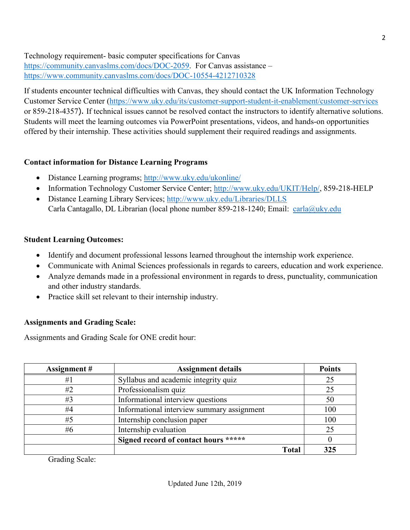Technology requirement- basic computer specifications for Canvas [https://community.canvaslms.com/docs/DOC-2059.](https://community.canvaslms.com/docs/DOC-2059) For Canvas assistance – <https://www.community.canvaslms.com/docs/DOC-10554-4212710328>

If students encounter technical difficulties with Canvas, they should contact the UK Information Technology Customer Service Center [\(https://www.uky.edu/its/customer-support-student-it-enablement/customer-services](https://www.uky.edu/its/customer-support-student-it-enablement/customer-services) or 859-218-4357). If technical issues cannot be resolved contact the instructors to identify alternative solutions. Students will meet the learning outcomes via PowerPoint presentations, videos, and hands-on opportunities offered by their internship. These activities should supplement their required readings and assignments.

## **Contact information for Distance Learning Programs**

- Distance Learning programs; <http://www.uky.edu/ukonline/>
- Information Technology Customer Service Center; [http://www.uky.edu/UKIT/Help/,](http://www.uky.edu/UKIT/Help/) 859-218-HELP
- Distance Learning Library Services; <http://www.uky.edu/Libraries/DLLS> Carla Cantagallo, DL Librarian (local phone number 859-218-1240; Email: [carla@uky.edu](mailto:carla@uky.edu)

## **Student Learning Outcomes:**

- Identify and document professional lessons learned throughout the internship work experience.
- Communicate with Animal Sciences professionals in regards to careers, education and work experience.
- Analyze demands made in a professional environment in regards to dress, punctuality, communication and other industry standards.
- Practice skill set relevant to their internship industry.

## **Assignments and Grading Scale:**

Assignments and Grading Scale for ONE credit hour:

| Assignment # | <b>Assignment details</b>                  | <b>Points</b> |
|--------------|--------------------------------------------|---------------|
| #1           | Syllabus and academic integrity quiz       | 25            |
| #2           | Professionalism quiz                       | 25            |
| #3           | Informational interview questions          | 50            |
| #4           | Informational interview summary assignment | 100           |
| #5           | Internship conclusion paper                | 100           |
| #6           | Internship evaluation                      | 25            |
|              | Signed record of contact hours *****       |               |
|              | <b>Total</b>                               | 325           |

Grading Scale: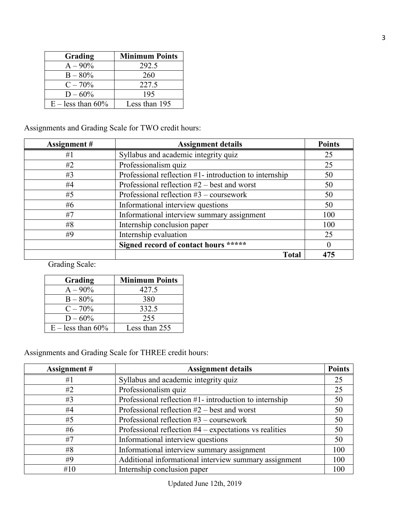| Grading             | <b>Minimum Points</b> |  |
|---------------------|-----------------------|--|
| $A - 90\%$          | 292.5                 |  |
| $B - 80\%$          | 260                   |  |
| $C - 70%$           | 227.5                 |  |
| $D - 60\%$          | 195                   |  |
| $E -$ less than 60% | Less than 195         |  |

Assignments and Grading Scale for TWO credit hours:

| Assignment# | <b>Assignment details</b>                              | <b>Points</b> |
|-------------|--------------------------------------------------------|---------------|
| #1          | Syllabus and academic integrity quiz                   | 25            |
| #2          | Professionalism quiz                                   | 25            |
| #3          | Professional reflection #1- introduction to internship | 50            |
| #4          | Professional reflection $#2$ – best and worst          | 50            |
| #5          | Professional reflection $#3$ – coursework              | 50            |
| #6          | Informational interview questions                      | 50            |
| #7          | Informational interview summary assignment             | 100           |
| #8          | Internship conclusion paper                            | 100           |
| #9          | Internship evaluation                                  | 25            |
|             | Signed record of contact hours *****                   |               |
|             | <b>Total</b>                                           | 475           |

Grading Scale:

| Grading             | <b>Minimum Points</b> |  |
|---------------------|-----------------------|--|
| $A - 90\%$          | 427.5                 |  |
| $B - 80\%$          | 380                   |  |
| $C - 70\%$          | 332.5                 |  |
| $D - 60\%$          | 255                   |  |
| $E -$ less than 60% | Less than 255         |  |

Assignments and Grading Scale for THREE credit hours:

| Assignment # | <b>Assignment details</b>                                | <b>Points</b> |
|--------------|----------------------------------------------------------|---------------|
| #1           | Syllabus and academic integrity quiz                     | 25            |
| #2           | Professionalism quiz                                     | 25            |
| #3           | Professional reflection #1- introduction to internship   | 50            |
| #4           | Professional reflection $#2$ – best and worst            | 50            |
| #5           | Professional reflection $#3$ – coursework                | 50            |
| #6           | Professional reflection $#4$ – expectations vs realities | 50            |
| #7           | Informational interview questions                        | 50            |
| #8           | Informational interview summary assignment               | 100           |
| #9           | Additional informational interview summary assignment    | 100           |
| #10          | Internship conclusion paper                              | 100           |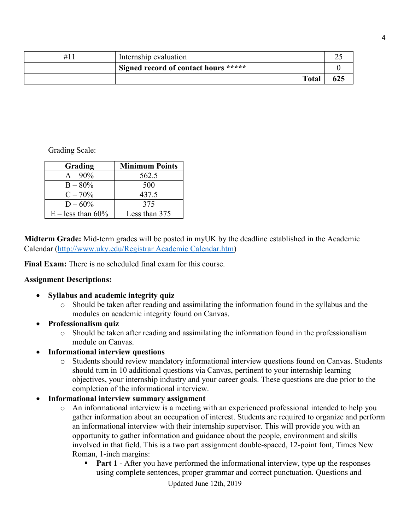| Internship evaluation                |     |
|--------------------------------------|-----|
| Signed record of contact hours ***** |     |
| <b>Total</b>                         | 625 |

Grading Scale:

| Grading             | <b>Minimum Points</b> |
|---------------------|-----------------------|
| $A - 90\%$          | 562.5                 |
| $B - 80\%$          | 500                   |
| $C - 70\%$          | 437.5                 |
| $D - 60\%$          | 375                   |
| $E -$ less than 60% | Less than 375         |

**Midterm Grade:** Mid-term grades will be posted in myUK by the deadline established in the Academic Calendar [\(http://www.uky.edu/Registrar Academic Calendar.htm\)](http://www.uky.edu/Registrar%20Academic%20Calendar.htm)

**Final Exam:** There is no scheduled final exam for this course.

#### **Assignment Descriptions:**

- **Syllabus and academic integrity quiz**
	- o Should be taken after reading and assimilating the information found in the syllabus and the modules on academic integrity found on Canvas.
- **Professionalism quiz** 
	- o Should be taken after reading and assimilating the information found in the professionalism module on Canvas.
- **Informational interview questions**
	- o Students should review mandatory informational interview questions found on Canvas. Students should turn in 10 additional questions via Canvas, pertinent to your internship learning objectives, your internship industry and your career goals. These questions are due prior to the completion of the informational interview.
- **Informational interview summary assignment**
	- o An informational interview is a meeting with an experienced professional intended to help you gather information about an occupation of interest. Students are required to organize and perform an informational interview with their internship supervisor. This will provide you with an opportunity to gather information and guidance about the people, environment and skills involved in that field. This is a two part assignment double-spaced, 12-point font, Times New Roman, 1-inch margins:
		- **Part 1** After you have performed the informational interview, type up the responses using complete sentences, proper grammar and correct punctuation. Questions and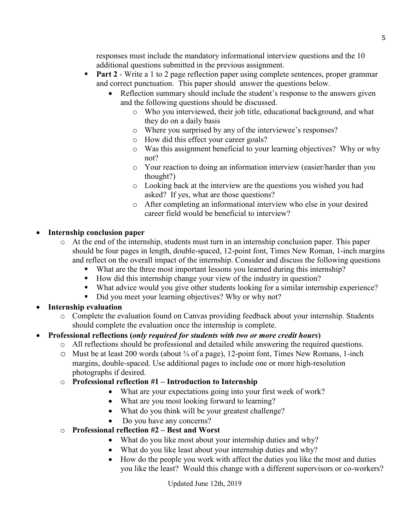responses must include the mandatory informational interview questions and the 10 additional questions submitted in the previous assignment.

- **Part 2** Write a 1 to 2 page reflection paper using complete sentences, proper grammar and correct punctuation. This paper should answer the questions below.
	- Reflection summary should include the student's response to the answers given and the following questions should be discussed.
		- o Who you interviewed, their job title, educational background, and what they do on a daily basis
		- o Where you surprised by any of the interviewee's responses?
		- o How did this effect your career goals?
		- o Was this assignment beneficial to your learning objectives? Why or why not?
		- o Your reaction to doing an information interview (easier/harder than you thought?)
		- o Looking back at the interview are the questions you wished you had asked? If yes, what are those questions?
		- o After completing an informational interview who else in your desired career field would be beneficial to interview?

#### • **Internship conclusion paper**

- o At the end of the internship, students must turn in an internship conclusion paper. This paper should be four pages in length, double-spaced, 12-point font, Times New Roman, 1-inch margins and reflect on the overall impact of the internship. Consider and discuss the following questions
	- What are the three most important lessons you learned during this internship?
	- How did this internship change your view of the industry in question?
	- What advice would you give other students looking for a similar internship experience?
	- Did you meet your learning objectives? Why or why not?

## • **Internship evaluation**

o Complete the evaluation found on Canvas providing feedback about your internship. Students should complete the evaluation once the internship is complete.

## • **Professional reflections (***only required for students with two or more credit hours***)**

- o All reflections should be professional and detailed while answering the required questions.
- $\circ$  Must be at least 200 words (about  $\frac{3}{4}$  of a page), 12-point font, Times New Romans, 1-inch margins, double-spaced. Use additional pages to include one or more high-resolution photographs if desired.

## o **Professional reflection #1 – Introduction to Internship**

- What are your expectations going into your first week of work?
- What are you most looking forward to learning?
- What do you think will be your greatest challenge?
- Do you have any concerns?
- o **Professional reflection #2 – Best and Worst**
	- What do you like most about your internship duties and why?
	- What do you like least about your internship duties and why?
	- How do the people you work with affect the duties you like the most and duties you like the least? Would this change with a different supervisors or co-workers?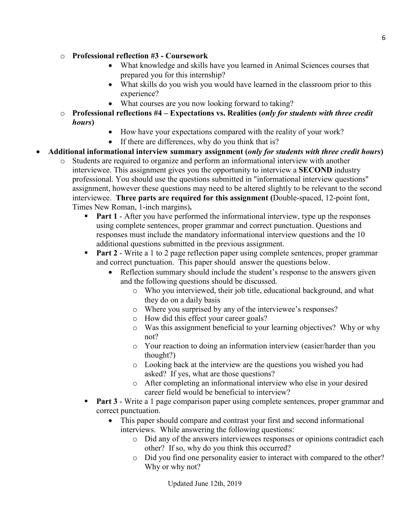#### o **Professional reflection #3 - Coursework**

- What knowledge and skills have you learned in Animal Sciences courses that prepared you for this internship?
- What skills do you wish you would have learned in the classroom prior to this experience?
- What courses are you now looking forward to taking?
- o **Professional reflections #4 – Expectations vs. Realities (***only for students with three credit hours***)**
	- How have your expectations compared with the reality of your work?
	- If there are differences, why do you think that is?

# • **Additional informational interview summary assignment (***only for students with three credit hours***)**

- o Students are required to organize and perform an informational interview with another interviewee. This assignment gives you the opportunity to interview a **SECOND** industry professional. You should use the questions submitted in "informational interview questions" assignment, however these questions may need to be altered slightly to be relevant to the second interviewee. **Three parts are required for this assignment (**Double-spaced, 12-point font, Times New Roman, 1-inch margins)**.**
	- **Part 1** After you have performed the informational interview, type up the responses using complete sentences, proper grammar and correct punctuation. Questions and responses must include the mandatory informational interview questions and the 10 additional questions submitted in the previous assignment.
	- **Part 2** Write a 1 to 2 page reflection paper using complete sentences, proper grammar and correct punctuation. This paper should answer the questions below.
		- Reflection summary should include the student's response to the answers given and the following questions should be discussed.
			- o Who you interviewed, their job title, educational background, and what they do on a daily basis
			- o Where you surprised by any of the interviewee's responses?
			- o How did this effect your career goals?
			- o Was this assignment beneficial to your learning objectives? Why or why not?
			- o Your reaction to doing an information interview (easier/harder than you thought?)
			- o Looking back at the interview are the questions you wished you had asked? If yes, what are those questions?
			- o After completing an informational interview who else in your desired career field would be beneficial to interview?
	- **Part 3** Write a 1 page comparison paper using complete sentences, proper grammar and correct punctuation.
		- This paper should compare and contrast your first and second informational interviews. While answering the following questions:
			- o Did any of the answers interviewees responses or opinions contradict each other? If so, why do you think this occurred?
			- o Did you find one personality easier to interact with compared to the other? Why or why not?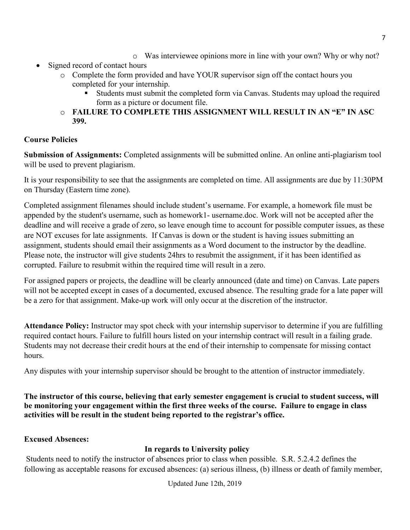- o Was interviewee opinions more in line with your own? Why or why not?
- Signed record of contact hours
	- o Complete the form provided and have YOUR supervisor sign off the contact hours you completed for your internship.
		- Students must submit the completed form via Canvas. Students may upload the required form as a picture or document file.
	- o **FAILURE TO COMPLETE THIS ASSIGNMENT WILL RESULT IN AN "E" IN ASC 399.**

# **Course Policies**

**Submission of Assignments:** Completed assignments will be submitted online. An online anti-plagiarism tool will be used to prevent plagiarism.

It is your responsibility to see that the assignments are completed on time. All assignments are due by 11:30PM on Thursday (Eastern time zone).

Completed assignment filenames should include student's username. For example, a homework file must be appended by the student's username, such as homework1- username.doc. Work will not be accepted after the deadline and will receive a grade of zero, so leave enough time to account for possible computer issues, as these are NOT excuses for late assignments. If Canvas is down or the student is having issues submitting an assignment, students should email their assignments as a Word document to the instructor by the deadline. Please note, the instructor will give students 24hrs to resubmit the assignment, if it has been identified as corrupted. Failure to resubmit within the required time will result in a zero.

For assigned papers or projects, the deadline will be clearly announced (date and time) on Canvas. Late papers will not be accepted except in cases of a documented, excused absence. The resulting grade for a late paper will be a zero for that assignment. Make-up work will only occur at the discretion of the instructor.

**Attendance Policy:** Instructor may spot check with your internship supervisor to determine if you are fulfilling required contact hours. Failure to fulfill hours listed on your internship contract will result in a failing grade. Students may not decrease their credit hours at the end of their internship to compensate for missing contact hours.

Any disputes with your internship supervisor should be brought to the attention of instructor immediately.

**The instructor of this course, believing that early semester engagement is crucial to student success, will be monitoring your engagement within the first three weeks of the course. Failure to engage in class activities will be result in the student being reported to the registrar's office.** 

## **Excused Absences:**

# **In regards to University policy**

Students need to notify the instructor of absences prior to class when possible. S.R. 5.2.4.2 defines the following as acceptable reasons for excused absences: (a) serious illness, (b) illness or death of family member,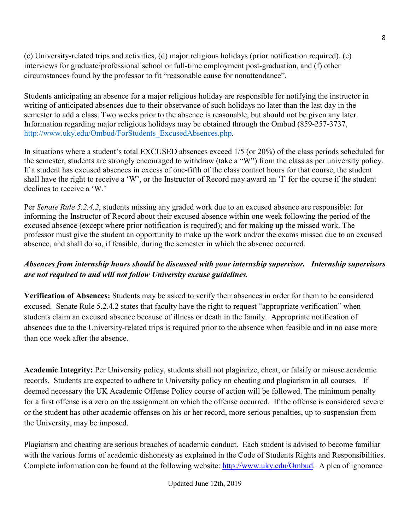(c) University-related trips and activities, (d) major religious holidays (prior notification required), (e) interviews for graduate/professional school or full-time employment post-graduation, and (f) other circumstances found by the professor to fit "reasonable cause for nonattendance".

Students anticipating an absence for a major religious holiday are responsible for notifying the instructor in writing of anticipated absences due to their observance of such holidays no later than the last day in the semester to add a class. Two weeks prior to the absence is reasonable, but should not be given any later. Information regarding major religious holidays may be obtained through the Ombud (859-257-3737, [http://www.uky.edu/Ombud/ForStudents\\_ExcusedAbsences.php.](http://www.uky.edu/Ombud/ForStudents_ExcusedAbsences.php)

In situations where a student's total EXCUSED absences exceed 1/5 (or 20%) of the class periods scheduled for the semester, students are strongly encouraged to withdraw (take a "W") from the class as per university policy. If a student has excused absences in excess of one-fifth of the class contact hours for that course, the student shall have the right to receive a 'W', or the Instructor of Record may award an 'I' for the course if the student declines to receive a 'W.'

Per *Senate Rule 5.2.4.2*, students missing any graded work due to an excused absence are responsible: for informing the Instructor of Record about their excused absence within one week following the period of the excused absence (except where prior notification is required); and for making up the missed work. The professor must give the student an opportunity to make up the work and/or the exams missed due to an excused absence, and shall do so, if feasible, during the semester in which the absence occurred.

# *Absences from internship hours should be discussed with your internship supervisor. Internship supervisors are not required to and will not follow University excuse guidelines.*

**Verification of Absences:** Students may be asked to verify their absences in order for them to be considered excused. Senate Rule 5.2.4.2 states that faculty have the right to request "appropriate verification" when students claim an excused absence because of illness or death in the family. Appropriate notification of absences due to the University-related trips is required prior to the absence when feasible and in no case more than one week after the absence.

**Academic Integrity:** Per University policy, students shall not plagiarize, cheat, or falsify or misuse academic records. Students are expected to adhere to University policy on cheating and plagiarism in all courses. If deemed necessary the UK Academic Offense Policy course of action will be followed. The minimum penalty for a first offense is a zero on the assignment on which the offense occurred. If the offense is considered severe or the student has other academic offenses on his or her record, more serious penalties, up to suspension from the University, may be imposed.

Plagiarism and cheating are serious breaches of academic conduct. Each student is advised to become familiar with the various forms of academic dishonesty as explained in the Code of Students Rights and Responsibilities. Complete information can be found at the following website: [http://www.uky.edu/Ombud.](http://www.uky.edu/Ombud) A plea of ignorance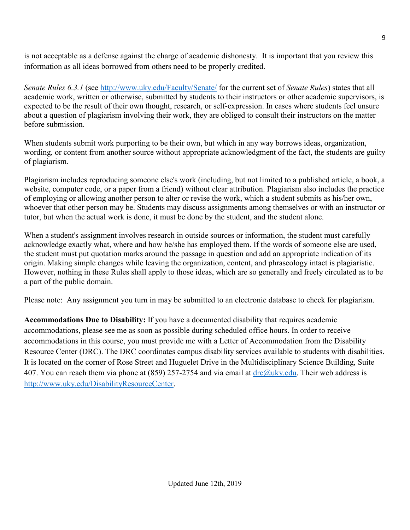is not acceptable as a defense against the charge of academic dishonesty. It is important that you review this information as all ideas borrowed from others need to be properly credited.

*Senate Rules 6.3.1* (see<http://www.uky.edu/Faculty/Senate/> for the current set of *Senate Rules*) states that all academic work, written or otherwise, submitted by students to their instructors or other academic supervisors, is expected to be the result of their own thought, research, or self-expression. In cases where students feel unsure about a question of plagiarism involving their work, they are obliged to consult their instructors on the matter before submission.

When students submit work purporting to be their own, but which in any way borrows ideas, organization, wording, or content from another source without appropriate acknowledgment of the fact, the students are guilty of plagiarism.

Plagiarism includes reproducing someone else's work (including, but not limited to a published article, a book, a website, computer code, or a paper from a friend) without clear attribution. Plagiarism also includes the practice of employing or allowing another person to alter or revise the work, which a student submits as his/her own, whoever that other person may be. Students may discuss assignments among themselves or with an instructor or tutor, but when the actual work is done, it must be done by the student, and the student alone.

When a student's assignment involves research in outside sources or information, the student must carefully acknowledge exactly what, where and how he/she has employed them. If the words of someone else are used, the student must put quotation marks around the passage in question and add an appropriate indication of its origin. Making simple changes while leaving the organization, content, and phraseology intact is plagiaristic. However, nothing in these Rules shall apply to those ideas, which are so generally and freely circulated as to be a part of the public domain.

Please note: Any assignment you turn in may be submitted to an electronic database to check for plagiarism.

**Accommodations Due to Disability:** If you have a documented disability that requires academic accommodations, please see me as soon as possible during scheduled office hours. In order to receive accommodations in this course, you must provide me with a Letter of Accommodation from the Disability Resource Center (DRC). The DRC coordinates campus disability services available to students with disabilities. It is located on the corner of Rose Street and Huguelet Drive in the Multidisciplinary Science Building, Suite 407. You can reach them via phone at (859) 257-2754 and via email at  $\text{drc}(\partial \mu k y \cdot \text{edu}$ . Their web address is [http://www.uky.edu/DisabilityResourceCenter.](http://www.uky.edu/DisabilityResourceCenter)